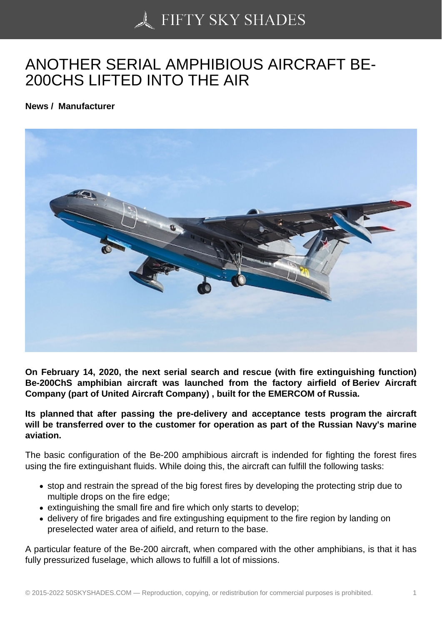## [ANOTHER SERIAL AM](https://50skyshades.com)PHIBIOUS AIRCRAFT BE-200CHS LIFTED INTO THE AIR

News / Manufacturer

On February 14, 2020, the next serial search and rescue (with fire extinguishing function) Be-200ChS amphibian aircraft was launched from the factory airfield of Beriev Aircraft Company (part of United Aircraft Company) , built for the EMERCOM of Russia.

Its planned that after passing the pre-delivery and acceptance tests program the aircraft will be transferred over to the customer for operation as part of the Russian Navy's marine aviation.

The basic configuration of the Be-200 amphibious aircraft is indended for fighting the forest fires using the fire extinguishant fluids. While doing this, the aircraft can fulfill the following tasks:

- stop and restrain the spread of the big forest fires by developing the protecting strip due to multiple drops on the fire edge;
- extinguishing the small fire and fire which only starts to develop;
- delivery of fire brigades and fire extingushing equipment to the fire region by landing on preselected water area of aifield, and return to the base.

A particular feature of the Be-200 aircraft, when compared with the other amphibians, is that it has fully pressurized fuselage, which allows to fulfill a lot of missions.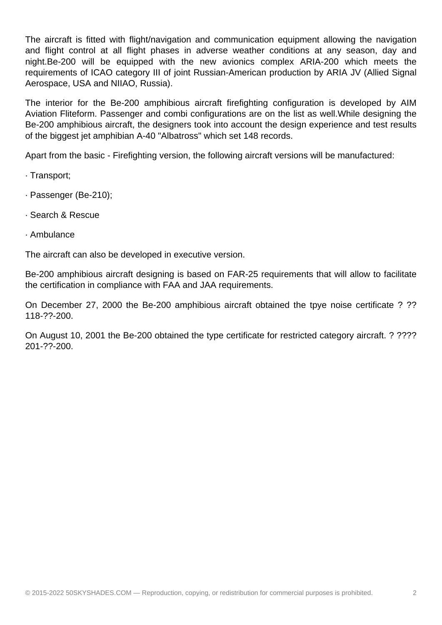The aircraft is fitted with flight/navigation and communication equipment allowing the navigation and flight control at all flight phases in adverse weather conditions at any season, day and night.Be-200 will be equipped with the new avionics complex ARIA-200 which meets the requirements of ICAO category III of joint Russian-American production by ARIA JV (Allied Signal Aerospace, USA and NIIAO, Russia).

The interior for the Be-200 amphibious aircraft firefighting configuration is developed by AIM Aviation Fliteform. Passenger and combi configurations are on the list as well.While designing the Be-200 amphibious aircraft, the designers took into account the design experience and test results of the biggest jet amphibian A-40 "Albatross" which set 148 records.

Apart from the basic - Firefighting version, the following aircraft versions will be manufactured:

- · Transport;
- · Passenger (Be-210);
- · Search & Rescue
- · Ambulance

The aircraft can also be developed in executive version.

Be-200 amphibious aircraft designing is based on FAR-25 requirements that will allow to facilitate the certification in compliance with FAA and JAA requirements.

On December 27, 2000 the Be-200 amphibious aircraft obtained the tpye noise certificate ? ?? 118-??-200.

On August 10, 2001 the Be-200 obtained the type certificate for restricted category aircraft. ? ???? 201-??-200.